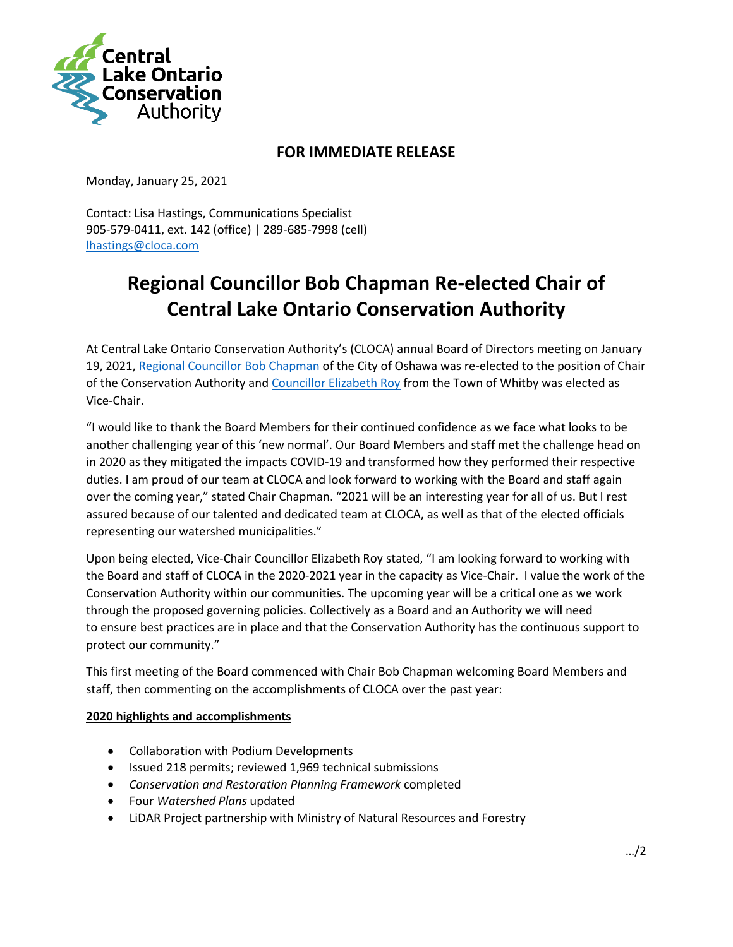

## **FOR IMMEDIATE RELEASE**

Monday, January 25, 2021

Contact: Lisa Hastings, Communications Specialist 905-579-0411, ext. 142 (office) | 289-685-7998 (cell) [lhastings@cloca.com](mailto:lhastings@cloca.com)

# **Regional Councillor Bob Chapman Re-elected Chair of Central Lake Ontario Conservation Authority**

At Central Lake Ontario Conservation Authority's (CLOCA) annual Board of Directors meeting on January 19, 2021, [Regional Councillor Bob Chapman](https://www.oshawa.ca/city-hall/councillor-chapman.asp) of the City of Oshawa was re-elected to the position of Chair of the Conservation Authority and [Councillor Elizabeth Roy](https://www.whitby.ca/en/town-hall/elizabeth-roy.aspx) from the Town of Whitby was elected as Vice-Chair.

"I would like to thank the Board Members for their continued confidence as we face what looks to be another challenging year of this 'new normal'. Our Board Members and staff met the challenge head on in 2020 as they mitigated the impacts COVID-19 and transformed how they performed their respective duties. I am proud of our team at CLOCA and look forward to working with the Board and staff again over the coming year," stated Chair Chapman. "2021 will be an interesting year for all of us. But I rest assured because of our talented and dedicated team at CLOCA, as well as that of the elected officials representing our watershed municipalities."

Upon being elected, Vice-Chair Councillor Elizabeth Roy stated, "I am looking forward to working with the Board and staff of CLOCA in the 2020-2021 year in the capacity as Vice-Chair. I value the work of the Conservation Authority within our communities. The upcoming year will be a critical one as we work through the proposed governing policies. Collectively as a Board and an Authority we will need to ensure best practices are in place and that the Conservation Authority has the continuous support to protect our community."

This first meeting of the Board commenced with Chair Bob Chapman welcoming Board Members and staff, then commenting on the accomplishments of CLOCA over the past year:

### **2020 highlights and accomplishments**

- Collaboration with Podium Developments
- Issued 218 permits; reviewed 1,969 technical submissions
- *Conservation and Restoration Planning Framework* completed
- Four *Watershed Plans* updated
- LiDAR Project partnership with Ministry of Natural Resources and Forestry